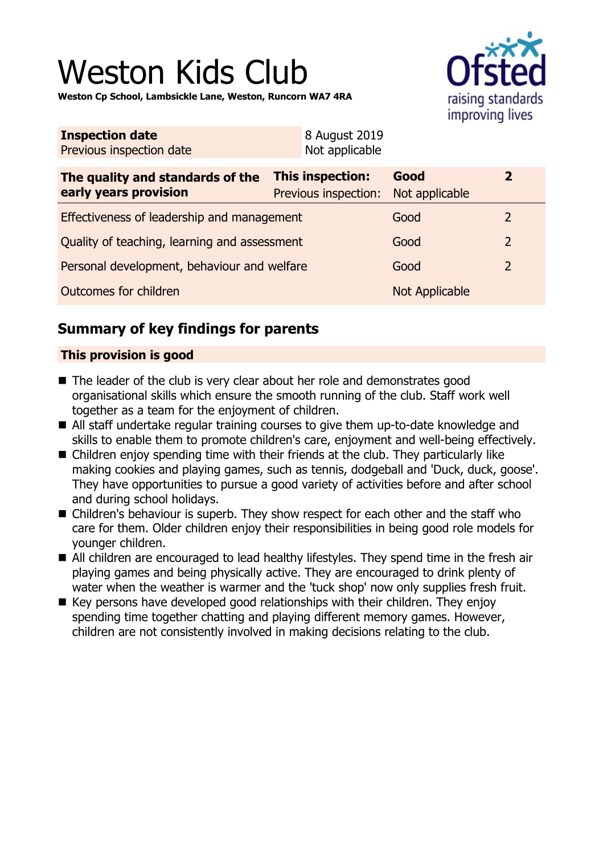# Weston Kids Club

**Weston Cp School, Lambsickle Lane, Weston, Runcorn WA7 4RA**



| <b>Inspection date</b><br>Previous inspection date        | 8 August 2019<br>Not applicable                         |      |                         |
|-----------------------------------------------------------|---------------------------------------------------------|------|-------------------------|
| The quality and standards of the<br>early years provision | This inspection:<br>Previous inspection: Not applicable | Good | $\overline{\mathbf{z}}$ |
| Effectiveness of leadership and management                |                                                         | Cood |                         |

| Effectiveness of leadership and management   | Good           | $\mathcal{P}$  |
|----------------------------------------------|----------------|----------------|
| Quality of teaching, learning and assessment | Good           | $\overline{2}$ |
| Personal development, behaviour and welfare  | Good           | $\mathcal{P}$  |
| Outcomes for children                        | Not Applicable |                |

# **Summary of key findings for parents**

# **This provision is good**

- $\blacksquare$  The leader of the club is very clear about her role and demonstrates good organisational skills which ensure the smooth running of the club. Staff work well together as a team for the enjoyment of children.
- All staff undertake regular training courses to give them up-to-date knowledge and skills to enable them to promote children's care, enjoyment and well-being effectively.
- $\blacksquare$  Children enjoy spending time with their friends at the club. They particularly like making cookies and playing games, such as tennis, dodgeball and 'Duck, duck, goose'. They have opportunities to pursue a good variety of activities before and after school and during school holidays.
- Children's behaviour is superb. They show respect for each other and the staff who care for them. Older children enjoy their responsibilities in being good role models for younger children.
- All children are encouraged to lead healthy lifestyles. They spend time in the fresh air playing games and being physically active. They are encouraged to drink plenty of water when the weather is warmer and the 'tuck shop' now only supplies fresh fruit.
- $\blacksquare$  Key persons have developed good relationships with their children. They enjoy spending time together chatting and playing different memory games. However, children are not consistently involved in making decisions relating to the club.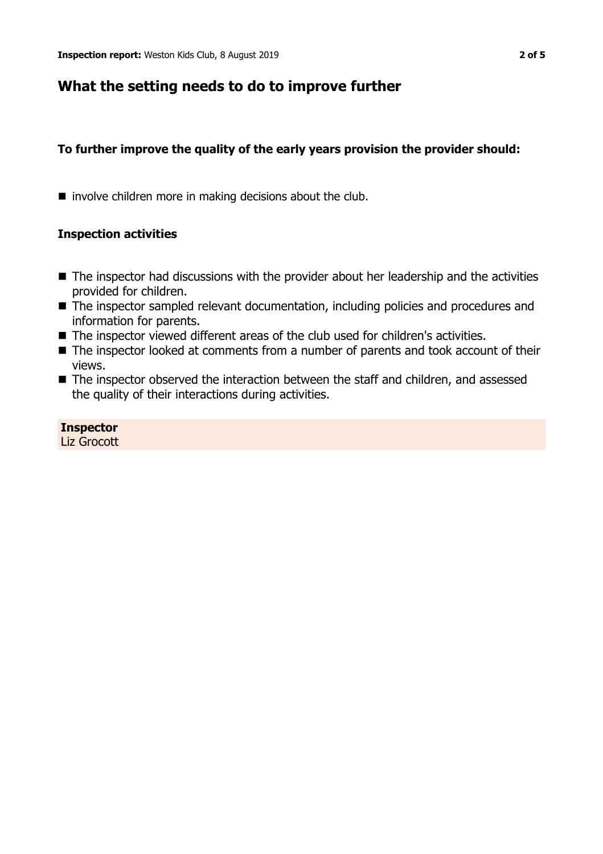# **What the setting needs to do to improve further**

## **To further improve the quality of the early years provision the provider should:**

 $\blacksquare$  involve children more in making decisions about the club.

## **Inspection activities**

- $\blacksquare$  The inspector had discussions with the provider about her leadership and the activities provided for children.
- The inspector sampled relevant documentation, including policies and procedures and information for parents.
- The inspector viewed different areas of the club used for children's activities.
- The inspector looked at comments from a number of parents and took account of their views.
- The inspector observed the interaction between the staff and children, and assessed the quality of their interactions during activities.

#### **Inspector** Liz Grocott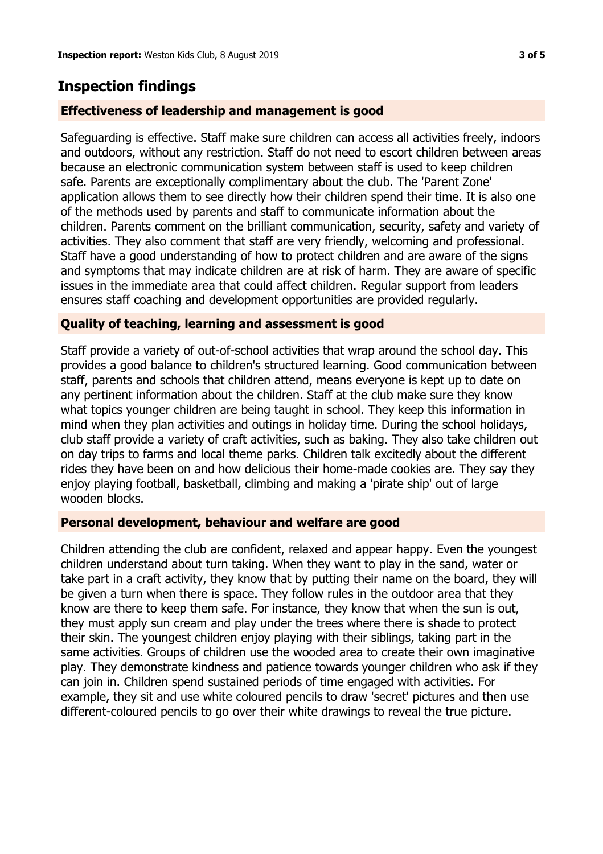# **Inspection findings**

## **Effectiveness of leadership and management is good**

Safeguarding is effective. Staff make sure children can access all activities freely, indoors and outdoors, without any restriction. Staff do not need to escort children between areas because an electronic communication system between staff is used to keep children safe. Parents are exceptionally complimentary about the club. The 'Parent Zone' application allows them to see directly how their children spend their time. It is also one of the methods used by parents and staff to communicate information about the children. Parents comment on the brilliant communication, security, safety and variety of activities. They also comment that staff are very friendly, welcoming and professional. Staff have a good understanding of how to protect children and are aware of the signs and symptoms that may indicate children are at risk of harm. They are aware of specific issues in the immediate area that could affect children. Regular support from leaders ensures staff coaching and development opportunities are provided regularly.

## **Quality of teaching, learning and assessment is good**

Staff provide a variety of out-of-school activities that wrap around the school day. This provides a good balance to children's structured learning. Good communication between staff, parents and schools that children attend, means everyone is kept up to date on any pertinent information about the children. Staff at the club make sure they know what topics younger children are being taught in school. They keep this information in mind when they plan activities and outings in holiday time. During the school holidays, club staff provide a variety of craft activities, such as baking. They also take children out on day trips to farms and local theme parks. Children talk excitedly about the different rides they have been on and how delicious their home-made cookies are. They say they enjoy playing football, basketball, climbing and making a 'pirate ship' out of large wooden blocks.

### **Personal development, behaviour and welfare are good**

Children attending the club are confident, relaxed and appear happy. Even the youngest children understand about turn taking. When they want to play in the sand, water or take part in a craft activity, they know that by putting their name on the board, they will be given a turn when there is space. They follow rules in the outdoor area that they know are there to keep them safe. For instance, they know that when the sun is out, they must apply sun cream and play under the trees where there is shade to protect their skin. The youngest children enjoy playing with their siblings, taking part in the same activities. Groups of children use the wooded area to create their own imaginative play. They demonstrate kindness and patience towards younger children who ask if they can join in. Children spend sustained periods of time engaged with activities. For example, they sit and use white coloured pencils to draw 'secret' pictures and then use different-coloured pencils to go over their white drawings to reveal the true picture.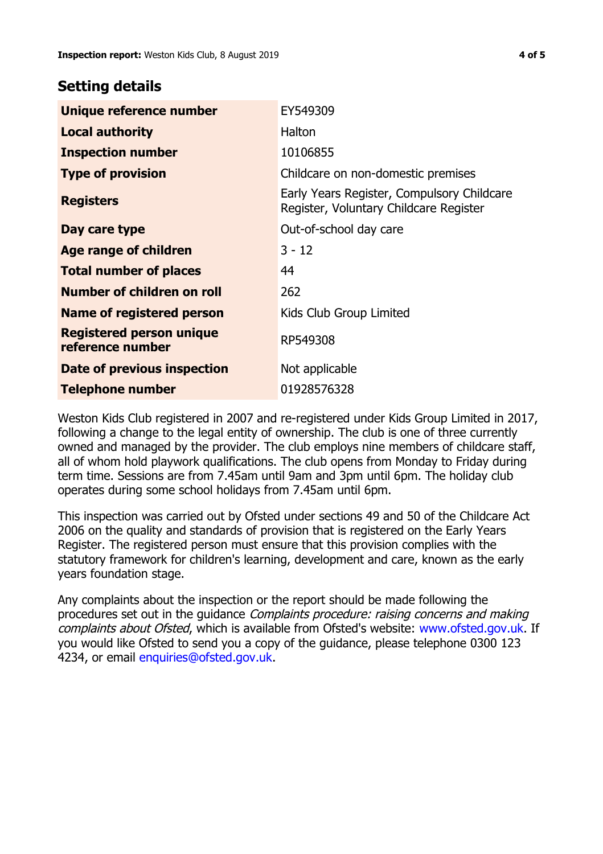# **Setting details**

| Unique reference number                             | EY549309                                                                             |  |
|-----------------------------------------------------|--------------------------------------------------------------------------------------|--|
| <b>Local authority</b>                              | Halton                                                                               |  |
| <b>Inspection number</b>                            | 10106855                                                                             |  |
| <b>Type of provision</b>                            | Childcare on non-domestic premises                                                   |  |
| <b>Registers</b>                                    | Early Years Register, Compulsory Childcare<br>Register, Voluntary Childcare Register |  |
| Day care type                                       | Out-of-school day care                                                               |  |
| Age range of children                               | $3 - 12$                                                                             |  |
| <b>Total number of places</b>                       | 44                                                                                   |  |
| Number of children on roll                          | 262                                                                                  |  |
| Name of registered person                           | Kids Club Group Limited                                                              |  |
| <b>Registered person unique</b><br>reference number | RP549308                                                                             |  |
| Date of previous inspection                         | Not applicable                                                                       |  |
| <b>Telephone number</b>                             | 01928576328                                                                          |  |

Weston Kids Club registered in 2007 and re-registered under Kids Group Limited in 2017, following a change to the legal entity of ownership. The club is one of three currently owned and managed by the provider. The club employs nine members of childcare staff, all of whom hold playwork qualifications. The club opens from Monday to Friday during term time. Sessions are from 7.45am until 9am and 3pm until 6pm. The holiday club operates during some school holidays from 7.45am until 6pm.

This inspection was carried out by Ofsted under sections 49 and 50 of the Childcare Act 2006 on the quality and standards of provision that is registered on the Early Years Register. The registered person must ensure that this provision complies with the statutory framework for children's learning, development and care, known as the early years foundation stage.

Any complaints about the inspection or the report should be made following the procedures set out in the quidance *Complaints procedure: raising concerns and making* complaints about Ofsted, which is available from Ofsted's website: www.ofsted.gov.uk. If you would like Ofsted to send you a copy of the guidance, please telephone 0300 123 4234, or email [enquiries@ofsted.gov.uk.](mailto:enquiries@ofsted.gov.uk)